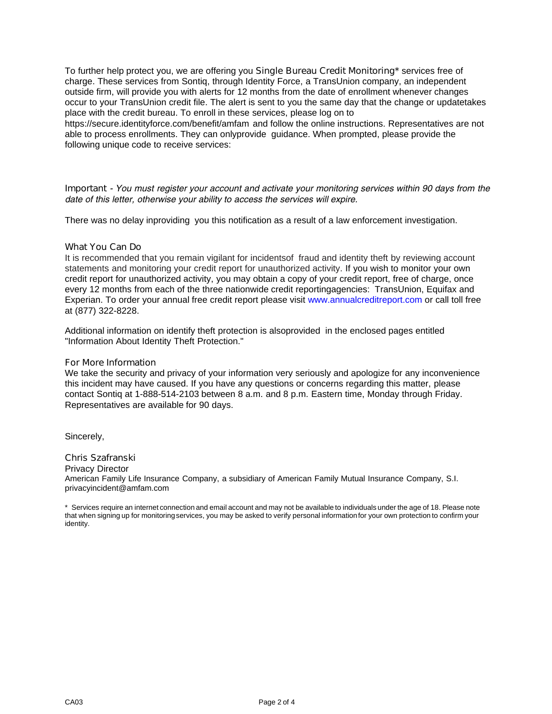To further help protect you, we are offering you **Single Bureau Credit Monitoring**\* services free of charge. These services from Sontiq, through Identity Force, a TransUnion company, an independent outside firm, will provide you with alerts for 12 months from the date of enrollment whenever changes occur to your TransUnion credit file. The alert is sent to you the same day that the change or update takes place with the credit bureau. To enroll in these services, please log on to https://secure.identityforce.com/benefit/amfam and follow the online instructions. Representatives are not

able to process enrollments. They can only provideguidance. When prompted, please provide the following unique code to receive services:

*Important - You must register your account and activate your monitoring services within 90 days from the* date of this letter, otherwise your ability to access the services will expire.

There was no delay in providingyou this notification as a result of a law enforcement investigation.

# **What You Can Do**

It is recommended that you remain vigilant for incidents offraud and identity theft by reviewing account statements and monitoring your credit report for unauthorized activity. If you wish to monitor your own credit report for unauthorized activity, you may obtain a copy of your credit report, free of charge, once every 12 months from each of the three nationwide credit reporting agencies:TransUnion, Equifax and Experian. To order your annual free credit report please visit www.annualcreditreport.com or call toll free at(877)322-8228.

Additional information on identify theft protection is also providedin the enclosed pages entitled "Information About Identity Theft Protection."

## **For More Information**

We take the security and privacy of your information very seriously and apologize for any inconvenience this incident may have caused. If you have any questions or concerns regarding this matter, please contact Sontiq at 1-888-514-2103 between 8 a.m. and 8 p.m. Eastern time, Monday through Friday. Representatives are available for 90 days.

Sincerely,

# **Chris Szafranski**

**Privacy Director** American Family Life Insurance Company, a subsidiary of American Family Mutual Insurance Company, S.I. privacyincident@amfam.com

\* Services require an internet connection and email account and may not be available to individuals under the age of 18. Please note that when signing up for monitoring services, you may be asked to verify personal information for your own protection to confirm your identity.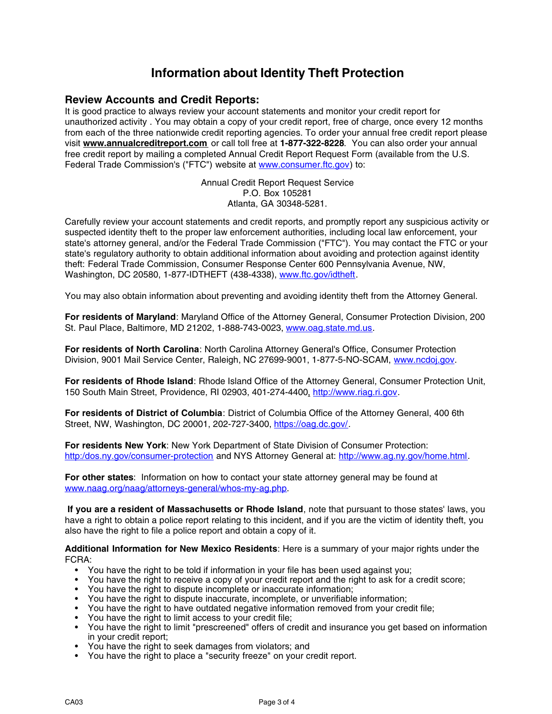# **Information about Identity Theft Protection**

**Information about Iden<br>Review Accounts and Credit Reports:<br><sup>It is</sup> good practice to always review your account stater Information about Identity Theft Protection**<br>Review Accounts and Credit Reports:<br>It is good practice to always review your account statements and monitor your credit report for<br>unauthorized activity . You may obtain a cop **Information about Identity Theft Protection**<br>Review Accounts and Credit Reports:<br>It is good practice to always review your account statements and monitor your credit report for<br>unauthorized activity . You may obtain a cop **From Accounts and Credit Reports:**<br>It is good practice to always review your account statements and monitor your credit report for<br>unauthorized activity . You may obtain a copy of your credit report, free of charge, once **Review Accounts and Credit Reports:**<br>It is good practice to always review your account statements and monitor your credit report for<br>unauthorized activity . You may obtain a copy of your credit report, free of charge, onc **Review Accounts and Credit Reports:**<br>It is good practice to always review your account statements and monitor your credit report for<br>unauthorized activity. You may obtain a copy of your credit report, free of charge, once It is good practice to always review your account statements and monitor your cr<br>unauthorized activity . You may obtain a copy of your credit report, free of charge<br>from each of the three nationwide credit reporting agenci credit reporting agencies. To order your ann<br>
m or call toll free at **1-877-322-8228**. You c<br>
pleted Annual Credit Report Request Form<br>
C") website at <u>www.consumer.ftc.gov</u>) to:<br>
Annual Credit Report Request Service<br>
P.O. bll free at **1-877-322-82**<br>hual Credit Report Request<br>at <u>www.consumer.ftc</u><br>edit Report Request Se<br>P.O. Box 105281<br>hta, GA 30348-5281. free credit report by mailing a completed Annual Credit Report Request Form (available from the U.S.<br>Federal Trade Commission's ("FTC") website at www.consumer.ftc.gov) to:<br>Annual Credit Report Request Service<br>P.O. Box 105

Federal Trade Commission's (FTC) website at www.consumer.itc.gov) to.<br>Annual Credit Report Request Service<br>P.O. Box 105281<br>Atlanta, GA 30348-5281.<br>Carefully review your account statements and credit reports, and promptly r Annual Credit Report Request Service<br>
P.O. Box 105281<br>
Atlanta, GA 30348-5281.<br>
Carefully review your account statements and credit reports, and promptly report any suspicious activity or<br>
suspected identity theft to the p F.O. Box 105281<br>Atlanta, GA 30348-5281.<br>State's attorney general, and/or the Federal Trade Commission ("FTC"). You may contact the FTC or your<br>state's regulatory authority to obtain additional information about avoiding an Atlanta, GA 30348-5281.<br>Carefully review your account statements and credit reports, and promptly report any suspicious activity or<br>suspected identity theft to the proper law enforcement authorities, including local law en Carefully review your account statements and credit reports, and promptly report any suspicious actively suspected identity theft to the proper law enforcement authorities, including local law enforcement, your state's att Carefully review your account statements and credit reports, and promptly report any suspicious activity or suspected identity theft to the proper law enforcement authorities, including local law enforcement, your state's

theft: Federal Trade Commission, Consumer Response Center 600 Pennsylvania Avenue, NW,<br>Washington, DC 20580, 1-877-IDTHEFT (438-4338), www.ftc.gov/idtheft.<br>You may also obtain information about preventing and avoiding iden Washington, DC 20580, 1-877-IDTHEFT (438-4338), <u>www.ftc.gov/idtheft</u>.<br>You may also obtain information about preventing and avoiding identity theft from the Attorney General.<br>**For residents of Maryland**: Maryland Office of For residents of Maryland: Maryland Office of the Attorney General, Consumer Protection Division, 200<br>St. Paul Place, Baltimore, MD 21202, 1-888-743-0023, www.oag.state.md.us.<br>For residents of North Carolina: North Carolin

For residents of North Carolina: North Carolina Attorney General's Office, Consumer Protection<br>Division, 9001 Mail Service Center, Raleigh, NC 27699-9001, 1-877-5-NO-SCAM, www.ncdoj.gov.<br>For residents of Rhode Island: Rhod For residents of Rhode Island: Rhode Island Office of the Attorney General, Consumer Protect, 150 South Main Street, Providence, RI 02903, 401-274-4400, http://www.riag.ri.gov.<br>For residents of District of Columbia: Distri

For residents of District of Columbia: District of Columbia Office of the Attorney General, 400 6th<br>Street, NW, Washington, DC 20001, 202-727-3400, <u>https://oag.dc.gov/</u>.<br>For residents New York: New York Department of Stat

www.naag.org/naag/attorneys-general/whos-my-ag.php.

http:/dos.ny.gov/consumer-protection and NYS Attorney General at: <u>http://www.ag.ny.gov/home.html</u><br>**For other states**: Information on how to contact your state attorney general may be found at<br>www.naag.org/naag/attorneys-g For other states: Information on how to contact your state attorney general may be found at<br>www.naag.org/naag/attorneys-general/whos-my-ag.php.<br>If you are a resident of Massachusetts or Rhode Island, note that pursuant to For other states: Information on how to contact your state attorney<br>www.naag.org/naag/attorneys-general/whos-my-ag.php.<br>If you are a resident of Massachusetts or Rhode Island, note that<br>have a right to obtain a police repo **If you are a resident of Massachusetts or Rhode Island**, note that pursuant to those states' laws, you have a right to obtain a police report relating to this incident, and if you are the victim of identity theft, you als Voltain a police report relating to this incident, and if you are the victim of identies to have the right to file a police report and obtain a copy of it.<br> **Iditional Information for New Mexico Residents**: Here is a summa

FCRA: Notational Information for New Mexico Residents: Here is a summary of your major rights under the FCRA:<br>
• You have the right to be told if information in your file has been used against you;<br>
• You have the right to recei Inditional Information for New Mexico Residents: Here is a summary of your major rights.<br>
You have the right to be told if information in your file has been used against you;<br>
You have the right to receive a copy of your c FIA:<br>
• You have the right to be told if information in your file has been used against you;<br>
• You have the right to receive a copy of your credit report and the right to ask for a credit scc<br>
• You have the right to disp

- 
- 
- 
- You have the right to dispute inaccurate, incomplete, or unverifiable information;
- 
- 
- You have the right to be told if information in your file ha<br>• You have the right to receive a copy of your credit repor<br>• You have the right to dispute incomplete or inaccurate in<br>• You have the right to have outdated n • You have the right to limit access to your credit file;<br>• You have the right to limit "prescreened" offers of credit and insurance you get based on information<br>in your credit report;<br>• You have the right to seek damages Fou have the right to display<br>You have the right to display<br>You have the right to have<br>You have the right to limit<br>You have the right to limit<br>in your credit report;<br>You have the right to see • You have the right to dispute incomplete of inaccurate informatio<br>• You have the right to dispute inaccurate, incomplete, or unverifia<br>• You have the right to limit access to your credit file;<br>• You have the right to lim • You have the right to uspute maccurate, incomplete, or unverniable<br>• You have the right to limit access to your credit file;<br>• You have the right to limit "prescreened" offers of credit and insurar<br>in your credit report;
- 
- Tou have the right to place a Security heeze on your clear<br>CA03 Page 3 of 4